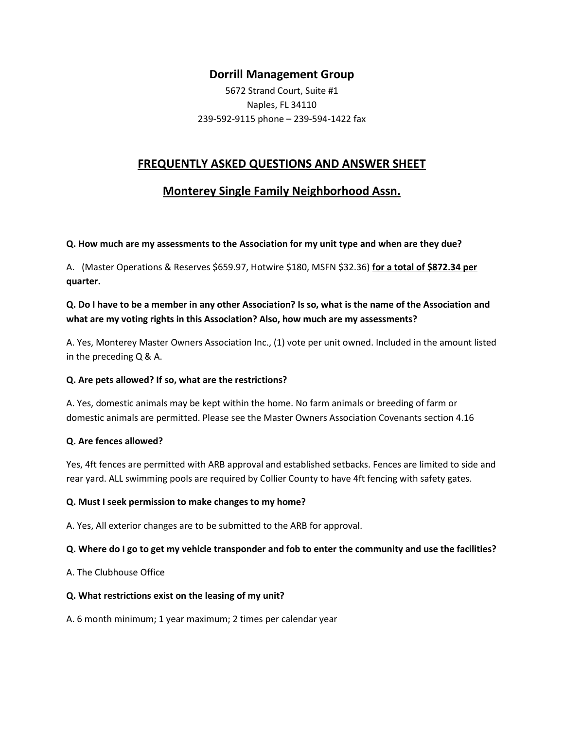## **Dorrill Management Group**

5672 Strand Court, Suite #1 Naples, FL 34110 239-592-9115 phone – 239-594-1422 fax

## **FREQUENTLY ASKED QUESTIONS AND ANSWER SHEET**

# **Monterey Single Family Neighborhood Assn.**

**Q. How much are my assessments to the Association for my unit type and when are they due?**

A. (Master Operations & Reserves \$659.97, Hotwire \$180, MSFN \$32.36) **for a total of \$872.34 per quarter.**

### **Q. Do I have to be a member in any other Association? Is so, what is the name of the Association and what are my voting rights in this Association? Also, how much are my assessments?**

A. Yes, Monterey Master Owners Association Inc., (1) vote per unit owned. Included in the amount listed in the preceding Q & A.

### **Q. Are pets allowed? If so, what are the restrictions?**

A. Yes, domestic animals may be kept within the home. No farm animals or breeding of farm or domestic animals are permitted. Please see the Master Owners Association Covenants section 4.16

### **Q. Are fences allowed?**

Yes, 4ft fences are permitted with ARB approval and established setbacks. Fences are limited to side and rear yard. ALL swimming pools are required by Collier County to have 4ft fencing with safety gates.

### **Q. Must I seek permission to make changes to my home?**

A. Yes, All exterior changes are to be submitted to the ARB for approval.

### **Q. Where do I go to get my vehicle transponder and fob to enter the community and use the facilities?**

A. The Clubhouse Office

#### **Q. What restrictions exist on the leasing of my unit?**

A. 6 month minimum; 1 year maximum; 2 times per calendar year